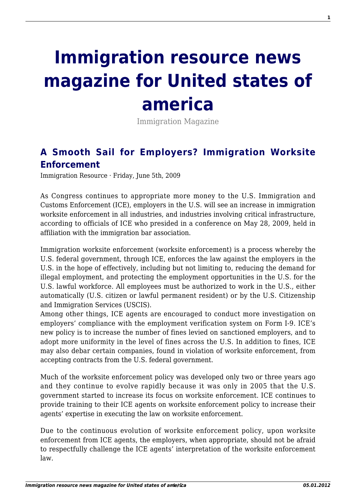## **[Immigration resource news](http://immigrationresource.net/) [magazine for United states of](http://immigrationresource.net/) [america](http://immigrationresource.net/)**

Immigration Magazine

## **[A Smooth Sail for Employers? Immigration Worksite](http://immigrationresource.net/a-smooth-sail-for-employers-immigration-worksite-enforcement/) [Enforcement](http://immigrationresource.net/a-smooth-sail-for-employers-immigration-worksite-enforcement/)**

Immigration Resource · Friday, June 5th, 2009

As Congress continues to appropriate more money to the U.S. Immigration and Customs Enforcement (ICE), employers in the U.S. will see an increase in immigration worksite enforcement in all industries, and industries involving critical infrastructure, according to officials of ICE who presided in a conference on May 28, 2009, held in affiliation with the immigration bar association.

Immigration worksite enforcement (worksite enforcement) is a process whereby the U.S. federal government, through ICE, enforces the law against the employers in the U.S. in the hope of effectively, including but not limiting to, reducing the demand for illegal employment, and protecting the employment opportunities in the U.S. for the U.S. lawful workforce. All employees must be authorized to work in the U.S., either automatically (U.S. citizen or lawful permanent resident) or by the U.S. Citizenship and Immigration Services (USCIS).

Among other things, ICE agents are encouraged to conduct more investigation on employers' compliance with the employment verification system on Form I-9. ICE's new policy is to increase the number of fines levied on sanctioned employers, and to adopt more uniformity in the level of fines across the U.S. In addition to fines, ICE may also debar certain companies, found in violation of worksite enforcement, from accepting contracts from the U.S. federal government.

Much of the worksite enforcement policy was developed only two or three years ago and they continue to evolve rapidly because it was only in 2005 that the U.S. government started to increase its focus on worksite enforcement. ICE continues to provide training to their ICE agents on worksite enforcement policy to increase their agents' expertise in executing the law on worksite enforcement.

Due to the continuous evolution of worksite enforcement policy, upon worksite enforcement from ICE agents, the employers, when appropriate, should not be afraid to respectfully challenge the ICE agents' interpretation of the worksite enforcement law.